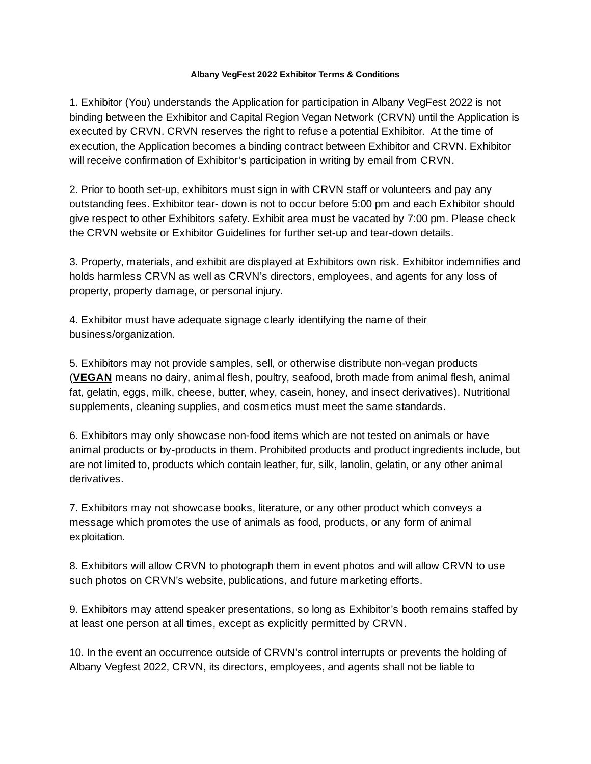## **Albany VegFest 2022 Exhibitor Terms & Conditions**

1. Exhibitor (You) understands the Application for participation in Albany VegFest 2022 is not binding between the Exhibitor and Capital Region Vegan Network (CRVN) until the Application is executed by CRVN. CRVN reserves the right to refuse a potential Exhibitor. At the time of execution, the Application becomes a binding contract between Exhibitor and CRVN. Exhibitor will receive confirmation of Exhibitor's participation in writing by email from CRVN.

2. Prior to booth set-up, exhibitors must sign in with CRVN staff or volunteers and pay any outstanding fees. Exhibitor tear- down is not to occur before 5:00 pm and each Exhibitor should give respect to other Exhibitors safety. Exhibit area must be vacated by 7:00 pm. Please check the CRVN website or Exhibitor Guidelines for further set-up and tear-down details.

3. Property, materials, and exhibit are displayed at Exhibitors own risk. Exhibitor indemnifies and holds harmless CRVN as well as CRVN's directors, employees, and agents for any loss of property, property damage, or personal injury.

4. Exhibitor must have adequate signage clearly identifying the name of their business/organization.

5. Exhibitors may not provide samples, sell, or otherwise distribute non-vegan products (**VEGAN** means no dairy, animal flesh, poultry, seafood, broth made from animal flesh, animal fat, gelatin, eggs, milk, cheese, butter, whey, casein, honey, and insect derivatives). Nutritional supplements, cleaning supplies, and cosmetics must meet the same standards.

6. Exhibitors may only showcase non-food items which are not tested on animals or have animal products or by-products in them. Prohibited products and product ingredients include, but are not limited to, products which contain leather, fur, silk, lanolin, gelatin, or any other animal derivatives.

7. Exhibitors may not showcase books, literature, or any other product which conveys a message which promotes the use of animals as food, products, or any form of animal exploitation.

8. Exhibitors will allow CRVN to photograph them in event photos and will allow CRVN to use such photos on CRVN's website, publications, and future marketing efforts.

9. Exhibitors may attend speaker presentations, so long as Exhibitor's booth remains staffed by at least one person at all times, except as explicitly permitted by CRVN.

10. In the event an occurrence outside of CRVN's control interrupts or prevents the holding of Albany Vegfest 2022, CRVN, its directors, employees, and agents shall not be liable to